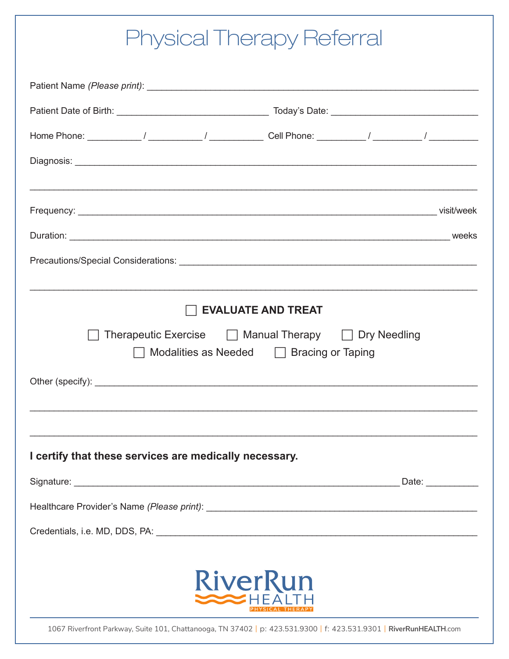## **Physical Therapy Referral**

| <b>EVALUATE AND TREAT</b>                                                                                              |  |  |
|------------------------------------------------------------------------------------------------------------------------|--|--|
| Therapeutic Exercise $\Box$ Manual Therapy $\Box$ Dry Needling<br>$\Box$ Modalities as Needed $\Box$ Bracing or Taping |  |  |
|                                                                                                                        |  |  |
|                                                                                                                        |  |  |
|                                                                                                                        |  |  |
| I certify that these services are medically necessary.                                                                 |  |  |
|                                                                                                                        |  |  |
|                                                                                                                        |  |  |
|                                                                                                                        |  |  |
|                                                                                                                        |  |  |
| <b>RiverRun</b>                                                                                                        |  |  |
| 1067 Riverfront Parkway, Suite 101, Chattanooga, TN 37402   p: 423.531.9300   f: 423.531.9301   RiverRunHEALTH.com     |  |  |